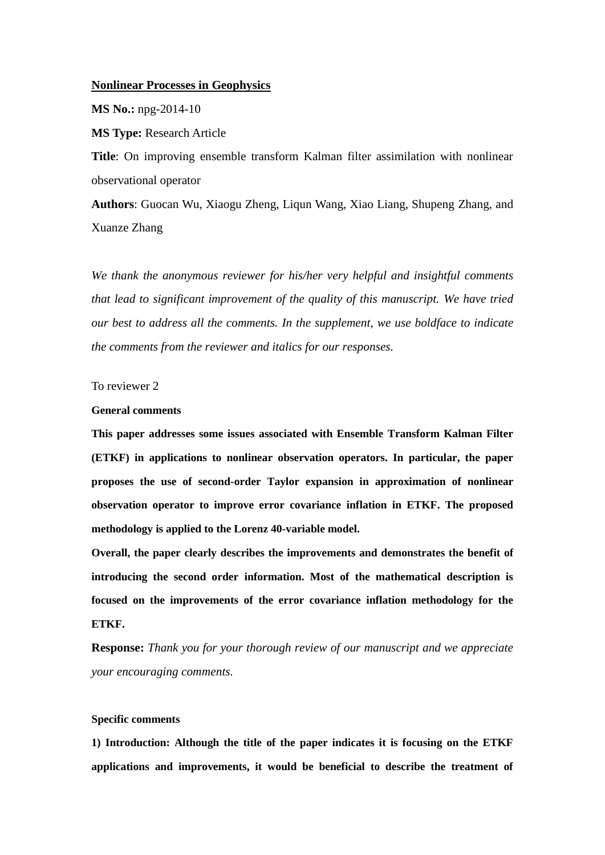# **Nonlinear Processes in Geophysics**

**MS No.:** npg-2014-10

**MS Type:** Research Article

**Title**: On improving ensemble transform Kalman filter assimilation with nonlinear observational operator

**Authors**: Guocan Wu, Xiaogu Zheng, Liqun Wang, Xiao Liang, Shupeng Zhang, and Xuanze Zhang

*We thank the anonymous reviewer for his/her very helpful and insightful comments that lead to significant improvement of the quality of this manuscript. We have tried our best to address all the comments. In the supplement, we use boldface to indicate the comments from the reviewer and italics for our responses.*

To reviewer 2

### **General comments**

**This paper addresses some issues associated with Ensemble Transform Kalman Filter (ETKF) in applications to nonlinear observation operators. In particular, the paper proposes the use of second-order Taylor expansion in approximation of nonlinear observation operator to improve error covariance inflation in ETKF. The proposed methodology is applied to the Lorenz 40-variable model.**

**Overall, the paper clearly describes the improvements and demonstrates the benefit of introducing the second order information. Most of the mathematical description is focused on the improvements of the error covariance inflation methodology for the ETKF.**

**Response:** *Thank you for your thorough review of our manuscript and we appreciate your encouraging comments.*

## **Specific comments**

**1) Introduction: Although the title of the paper indicates it is focusing on the ETKF applications and improvements, it would be beneficial to describe the treatment of**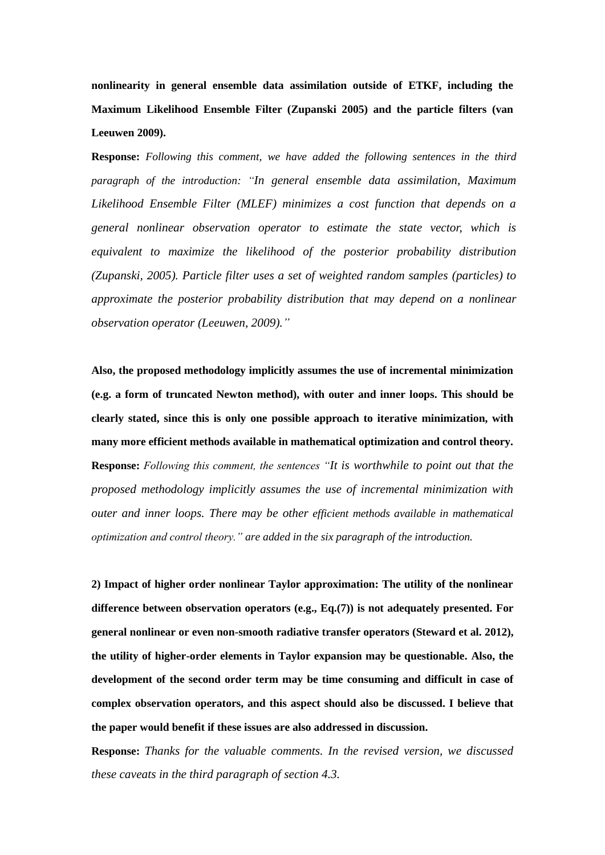**nonlinearity in general ensemble data assimilation outside of ETKF, including the Maximum Likelihood Ensemble Filter (Zupanski 2005) and the particle filters (van Leeuwen 2009).**

**Response:** *Following this comment, we have added the following sentences in the third paragraph of the introduction: "In general ensemble data assimilation, Maximum Likelihood Ensemble Filter (MLEF) minimizes a cost function that depends on a general nonlinear observation operator to estimate the state vector, which is equivalent to maximize the likelihood of the posterior probability distribution (Zupanski, 2005). Particle filter uses a set of weighted random samples (particles) to approximate the posterior probability distribution that may depend on a nonlinear observation operator (Leeuwen, 2009)."*

**Also, the proposed methodology implicitly assumes the use of incremental minimization (e.g. a form of truncated Newton method), with outer and inner loops. This should be clearly stated, since this is only one possible approach to iterative minimization, with many more efficient methods available in mathematical optimization and control theory. Response:** *Following this comment, the sentences "It is worthwhile to point out that the proposed methodology implicitly assumes the use of incremental minimization with outer and inner loops. There may be other efficient methods available in mathematical optimization and control theory." are added in the six paragraph of the introduction.*

**2) Impact of higher order nonlinear Taylor approximation: The utility of the nonlinear difference between observation operators (e.g., Eq.(7)) is not adequately presented. For general nonlinear or even non-smooth radiative transfer operators (Steward et al. 2012), the utility of higher-order elements in Taylor expansion may be questionable. Also, the development of the second order term may be time consuming and difficult in case of complex observation operators, and this aspect should also be discussed. I believe that the paper would benefit if these issues are also addressed in discussion.**

**Response:** *Thanks for the valuable comments. In the revised version, we discussed these caveats in the third paragraph of section 4.3.*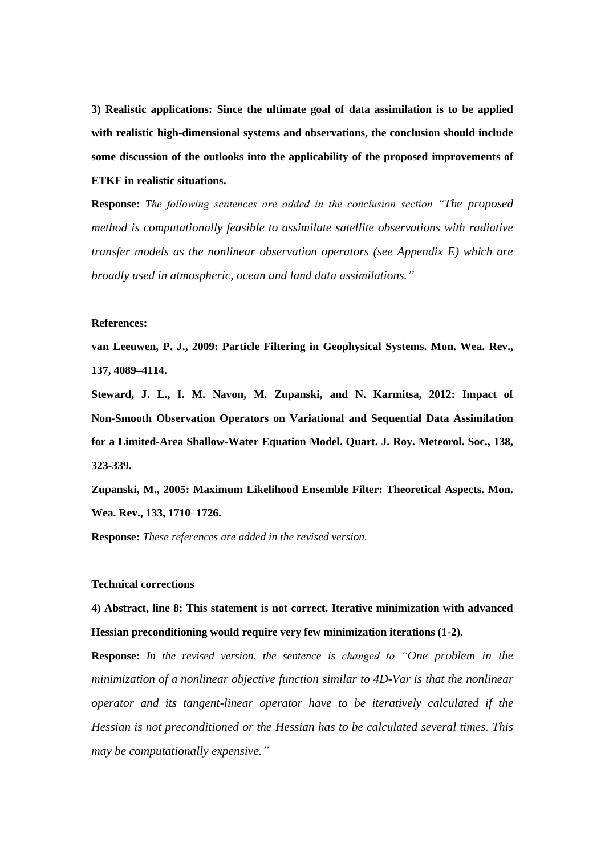**3) Realistic applications: Since the ultimate goal of data assimilation is to be applied with realistic high-dimensional systems and observations, the conclusion should include some discussion of the outlooks into the applicability of the proposed improvements of ETKF in realistic situations.**

**Response:** *The following sentences are added in the conclusion section "The proposed method is computationally feasible to assimilate satellite observations with radiative transfer models as the nonlinear observation operators (see Appendix E) which are broadly used in atmospheric, ocean and land data assimilations."*

#### **References:**

**van Leeuwen, P. J., 2009: Particle Filtering in Geophysical Systems. Mon. Wea. Rev., 137, 4089–4114.**

**Steward, J. L., I. M. Navon, M. Zupanski, and N. Karmitsa, 2012: Impact of Non-Smooth Observation Operators on Variational and Sequential Data Assimilation for a Limited-Area Shallow-Water Equation Model. Quart. J. Roy. Meteorol. Soc., 138, 323-339.**

**Zupanski, M., 2005: Maximum Likelihood Ensemble Filter: Theoretical Aspects. Mon. Wea. Rev., 133, 1710–1726.**

**Response:** *These references are added in the revised version.*

### **Technical corrections**

**4) Abstract, line 8: This statement is not correct. Iterative minimization with advanced Hessian preconditioning would require very few minimization iterations (1-2).**

**Response:** *In the revised version, the sentence is changed to "One problem in the minimization of a nonlinear objective function similar to 4D-Var is that the nonlinear operator and its tangent-linear operator have to be iteratively calculated if the Hessian is not preconditioned or the Hessian has to be calculated several times. This may be computationally expensive."*